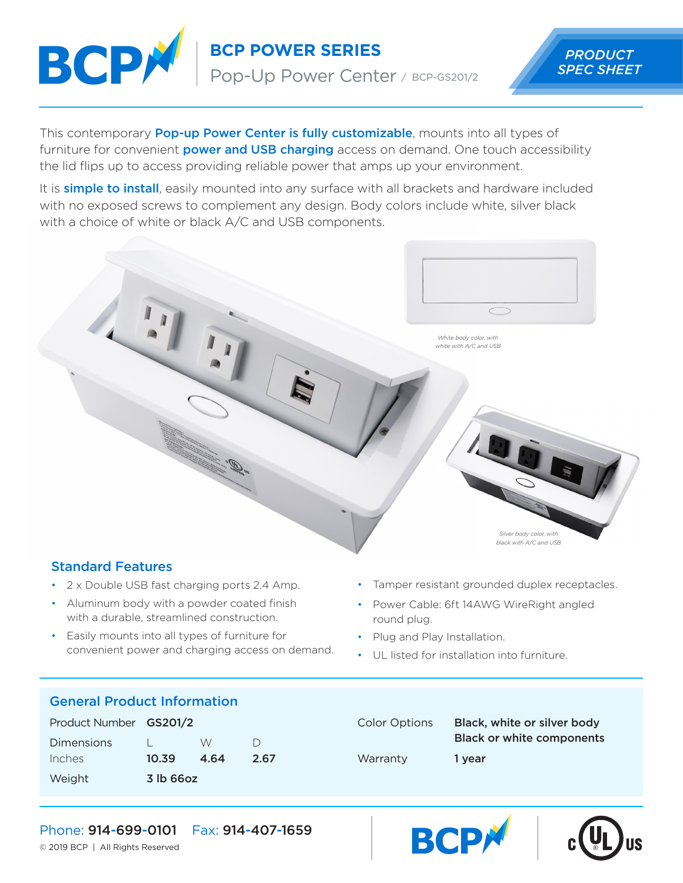

**BCP POWER SERIES** *PRODUCT*

Pop-Up Power Center / BCP-GS201/2

This contemporary **Pop-up Power Center is fully customizable**, mounts into all types of furniture for convenient **power and USB charging** access on demand. One touch accessibility the lid flips up to access providing reliable power that amps up your environment.

It is **simple to install**, easily mounted into any surface with all brackets and hardware included with no exposed screws to complement any design. Body colors include white, silver black with a choice of white or black A/C and USB components.



# Standard Features

- 2 x Double USB fast charging ports 2.4 Amp.
- Aluminum body with a powder coated finish with a durable, streamlined construction.
- Easily mounts into all types of furniture for convenient power and charging access on demand.
- Tamper resistant grounded duplex receptacles.
- Power Cable: 6ft 14AWG WireRight angled round plug.
- Plug and Play Installation.
- UL listed for installation into furniture.

### General Product Information

| Product Number GS201/2 |           |      |        |
|------------------------|-----------|------|--------|
| <b>Dimensions</b>      |           | W    | $\Box$ |
| Inches                 | 10.39     | 4.64 | 2.67   |
| Weight                 | 3 lb 66oz |      |        |

# Color Options Black, white or silver body Black or white components Warranty 1 year





### Phone: 914-699-0101 Fax: 914-407-1659

© 2019 BCP | All Rights Reserved